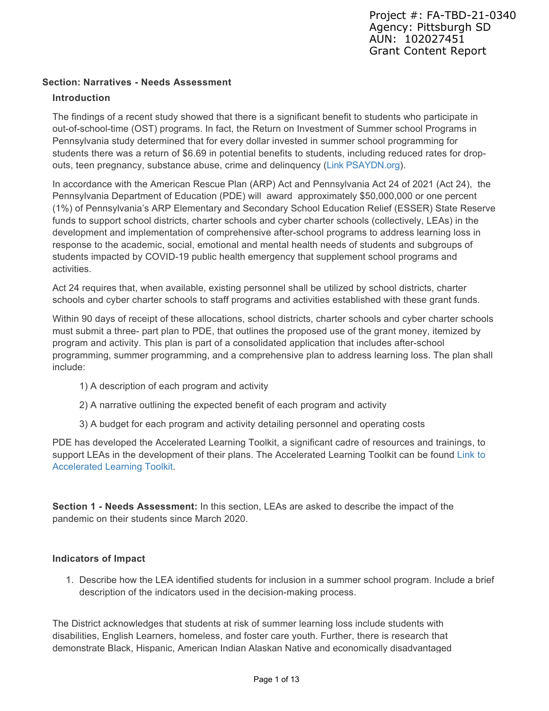### **Section: Narratives - Needs Assessment**

### **Introduction**

The findings of a recent study showed that there is a significant benefit to students who participate in out-of-school-time (OST) programs. In fact, the Return on Investment of Summer school Programs in Pennsylvania study determined that for every dollar invested in summer school programming for students there was a return of \$6.69 in potential benefits to students, including reduced rates for dropouts, teen pregnancy, substance abuse, crime and delinquency (Link PSAYDN.org).

In accordance with the American Rescue Plan (ARP) Act and Pennsylvania Act 24 of 2021 (Act 24), the Pennsylvania Department of Education (PDE) will award approximately \$50,000,000 or one percent (1%) of Pennsylvania's ARP Elementary and Secondary School Education Relief (ESSER) State Reserve funds to support school districts, charter schools and cyber charter schools (collectively, LEAs) in the development and implementation of comprehensive after-school programs to address learning loss in response to the academic, social, emotional and mental health needs of students and subgroups of students impacted by COVID-19 public health emergency that supplement school programs and activities.

Act 24 requires that, when available, existing personnel shall be utilized by school districts, charter schools and cyber charter schools to staff programs and activities established with these grant funds.

Within 90 days of receipt of these allocations, school districts, charter schools and cyber charter schools must submit a three- part plan to PDE, that outlines the proposed use of the grant money, itemized by program and activity. This plan is part of a consolidated application that includes after-school programming, summer programming, and a comprehensive plan to address learning loss. The plan shall include:

- 1) A description of each program and activity
- 2) A narrative outlining the expected benefit of each program and activity
- 3) A budget for each program and activity detailing personnel and operating costs

PDE has developed the Accelerated Learning Toolkit, a significant cadre of resources and trainings, to support LEAs in the development of their plans. The Accelerated Learning Toolkit can be found Link to Accelerated Learning Toolkit.

**Section 1 - Needs Assessment:** In this section, LEAs are asked to describe the impact of the pandemic on their students since March 2020.

### **Indicators of Impact**

1. Describe how the LEA identified students for inclusion in a summer school program. Include a brief description of the indicators used in the decision-making process.

The District acknowledges that students at risk of summer learning loss include students with disabilities, English Learners, homeless, and foster care youth. Further, there is research that demonstrate Black, Hispanic, American Indian Alaskan Native and economically disadvantaged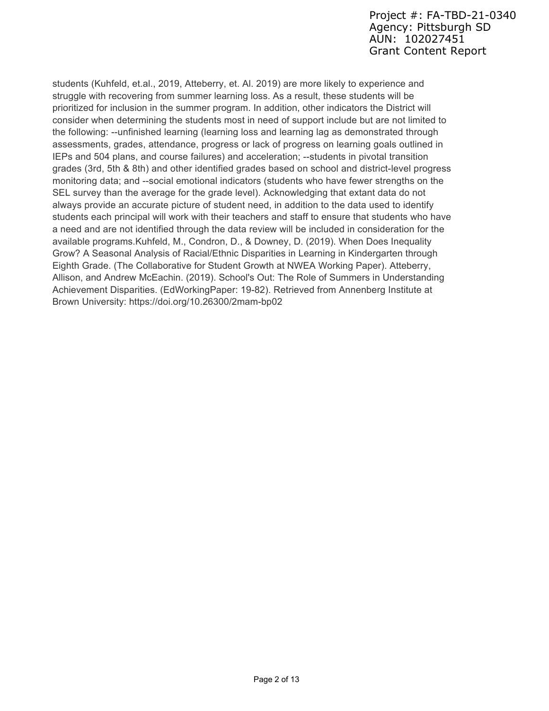students (Kuhfeld, et.al., 2019, Atteberry, et. Al. 2019) are more likely to experience and struggle with recovering from summer learning loss. As a result, these students will be prioritized for inclusion in the summer program. In addition, other indicators the District will consider when determining the students most in need of support include but are not limited to the following: --unfinished learning (learning loss and learning lag as demonstrated through assessments, grades, attendance, progress or lack of progress on learning goals outlined in IEPs and 504 plans, and course failures) and acceleration; --students in pivotal transition grades (3rd, 5th & 8th) and other identified grades based on school and district-level progress monitoring data; and --social emotional indicators (students who have fewer strengths on the SEL survey than the average for the grade level). Acknowledging that extant data do not always provide an accurate picture of student need, in addition to the data used to identify students each principal will work with their teachers and staff to ensure that students who have a need and are not identified through the data review will be included in consideration for the available programs.Kuhfeld, M., Condron, D., & Downey, D. (2019). When Does Inequality Grow? A Seasonal Analysis of Racial/Ethnic Disparities in Learning in Kindergarten through Eighth Grade. (The Collaborative for Student Growth at NWEA Working Paper). Atteberry, Allison, and Andrew McEachin. (2019). School's Out: The Role of Summers in Understanding Achievement Disparities. (EdWorkingPaper: 19-82). Retrieved from Annenberg Institute at Brown University: https://doi.org/10.26300/2mam-bp02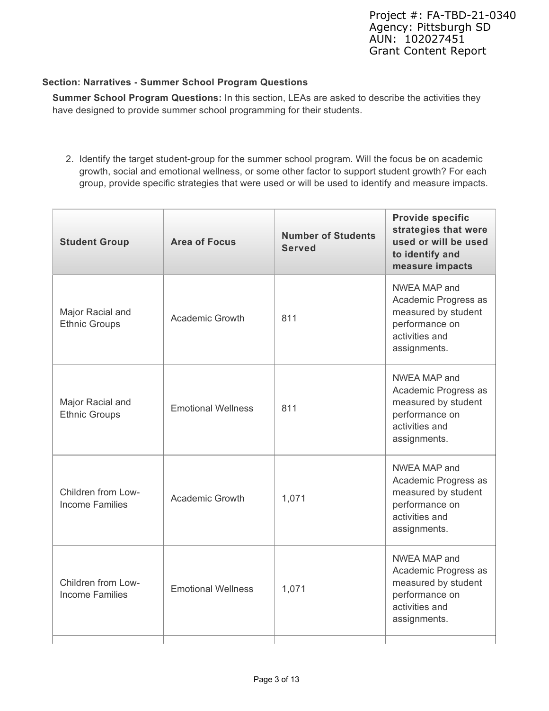### **Section: Narratives - Summer School Program Questions**

**Summer School Program Questions:** In this section, LEAs are asked to describe the activities they have designed to provide summer school programming for their students.

2. Identify the target student-group for the summer school program. Will the focus be on academic growth, social and emotional wellness, or some other factor to support student growth? For each group, provide specific strategies that were used or will be used to identify and measure impacts.

| <b>Student Group</b>                                                      | <b>Area of Focus</b>   | <b>Number of Students</b><br><b>Served</b> | <b>Provide specific</b><br>strategies that were<br>used or will be used<br>to identify and<br>measure impacts   |
|---------------------------------------------------------------------------|------------------------|--------------------------------------------|-----------------------------------------------------------------------------------------------------------------|
| Major Racial and<br><b>Ethnic Groups</b>                                  | <b>Academic Growth</b> | 811                                        | NWEA MAP and<br>Academic Progress as<br>measured by student<br>performance on<br>activities and<br>assignments. |
| Major Racial and<br><b>Emotional Wellness</b><br><b>Ethnic Groups</b>     |                        | 811                                        | NWEA MAP and<br>Academic Progress as<br>measured by student<br>performance on<br>activities and<br>assignments. |
| Children from Low-<br><b>Academic Growth</b><br><b>Income Families</b>    |                        | 1,071                                      | NWEA MAP and<br>Academic Progress as<br>measured by student<br>performance on<br>activities and<br>assignments. |
| Children from Low-<br><b>Emotional Wellness</b><br><b>Income Families</b> |                        | 1,071                                      | NWEA MAP and<br>Academic Progress as<br>measured by student<br>performance on<br>activities and<br>assignments. |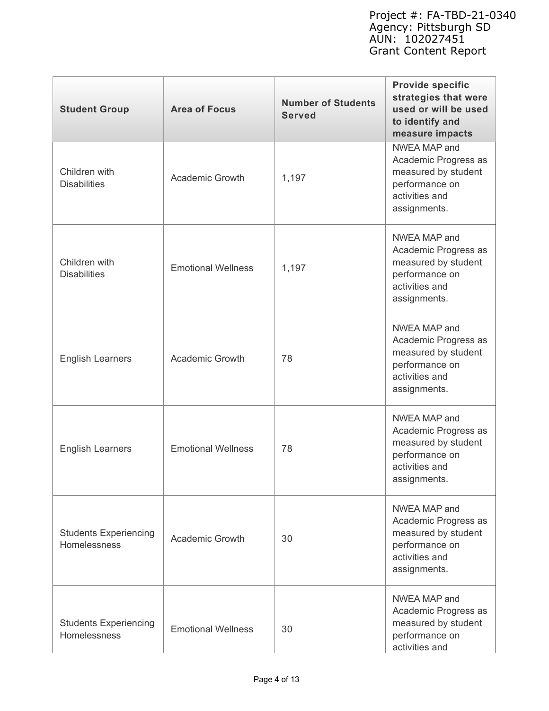| <b>Student Group</b>                                                          | <b>Area of Focus</b>               | <b>Number of Students</b><br><b>Served</b>                                                                      | <b>Provide specific</b><br>strategies that were<br>used or will be used<br>to identify and<br>measure impacts   |
|-------------------------------------------------------------------------------|------------------------------------|-----------------------------------------------------------------------------------------------------------------|-----------------------------------------------------------------------------------------------------------------|
| Children with<br><b>Disabilities</b>                                          | <b>Academic Growth</b>             | NWEA MAP and<br>Academic Progress as<br>measured by student<br>performance on<br>activities and<br>assignments. |                                                                                                                 |
| Children with<br><b>Disabilities</b>                                          | <b>Emotional Wellness</b><br>1,197 |                                                                                                                 | NWEA MAP and<br>Academic Progress as<br>measured by student<br>performance on<br>activities and<br>assignments. |
| <b>English Learners</b>                                                       | <b>Academic Growth</b>             | 78                                                                                                              | NWEA MAP and<br>Academic Progress as<br>measured by student<br>performance on<br>activities and<br>assignments. |
| <b>English Learners</b>                                                       | <b>Emotional Wellness</b>          | 78                                                                                                              | NWEA MAP and<br>Academic Progress as<br>measured by student<br>performance on<br>activities and<br>assignments. |
| <b>Students Experiencing</b><br><b>Academic Growth</b><br><b>Homelessness</b> |                                    | 30                                                                                                              | NWEA MAP and<br>Academic Progress as<br>measured by student<br>performance on<br>activities and<br>assignments. |
| <b>Students Experiencing</b><br>Homelessness                                  | <b>Emotional Wellness</b>          | 30                                                                                                              | NWEA MAP and<br>Academic Progress as<br>measured by student<br>performance on<br>activities and                 |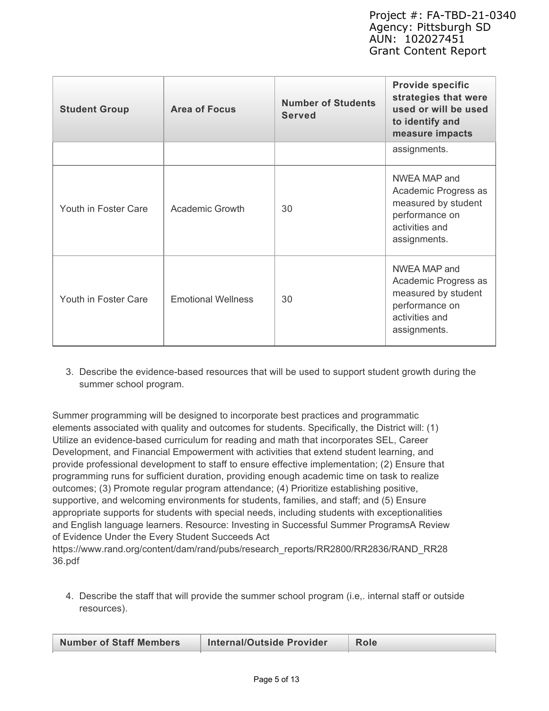| <b>Student Group</b> | <b>Number of Students</b><br><b>Area of Focus</b><br><b>Served</b> |    | <b>Provide specific</b><br>strategies that were<br>used or will be used<br>to identify and<br>measure impacts   |
|----------------------|--------------------------------------------------------------------|----|-----------------------------------------------------------------------------------------------------------------|
|                      |                                                                    |    | assignments.                                                                                                    |
| Youth in Foster Care | <b>Academic Growth</b><br>30                                       |    | NWEA MAP and<br>Academic Progress as<br>measured by student<br>performance on<br>activities and<br>assignments. |
| Youth in Foster Care | <b>Emotional Wellness</b>                                          | 30 | NWEA MAP and<br>Academic Progress as<br>measured by student<br>performance on<br>activities and<br>assignments. |

3. Describe the evidence-based resources that will be used to support student growth during the summer school program.

Summer programming will be designed to incorporate best practices and programmatic elements associated with quality and outcomes for students. Specifically, the District will: (1) Utilize an evidence-based curriculum for reading and math that incorporates SEL, Career Development, and Financial Empowerment with activities that extend student learning, and provide professional development to staff to ensure effective implementation; (2) Ensure that programming runs for sufficient duration, providing enough academic time on task to realize outcomes; (3) Promote regular program attendance; (4) Prioritize establishing positive, supportive, and welcoming environments for students, families, and staff; and (5) Ensure appropriate supports for students with special needs, including students with exceptionalities and English language learners. Resource: Investing in Successful Summer ProgramsA Review of Evidence Under the Every Student Succeeds Act https://www.rand.org/content/dam/rand/pubs/research\_reports/RR2800/RR2836/RAND\_RR28

36.pdf

4. Describe the staff that will provide the summer school program (i.e,. internal staff or outside resources).

| <b>Number of Staff Members</b> | Internal/Outside Provider | Role |
|--------------------------------|---------------------------|------|
|                                |                           |      |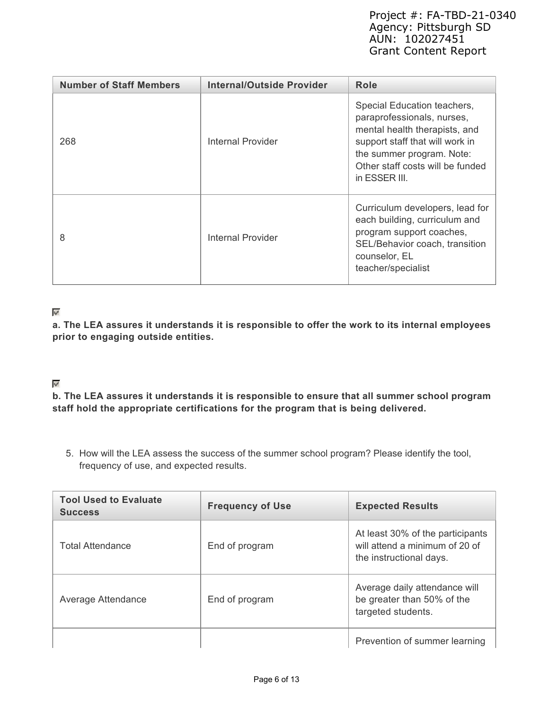| <b>Number of Staff Members</b> | Internal/Outside Provider | Role                                                                                                                                                                                                            |
|--------------------------------|---------------------------|-----------------------------------------------------------------------------------------------------------------------------------------------------------------------------------------------------------------|
| 268                            | Internal Provider         | Special Education teachers,<br>paraprofessionals, nurses,<br>mental health therapists, and<br>support staff that will work in<br>the summer program. Note:<br>Other staff costs will be funded<br>in ESSER III. |
| 8                              | <b>Internal Provider</b>  | Curriculum developers, lead for<br>each building, curriculum and<br>program support coaches,<br>SEL/Behavior coach, transition<br>counselor, EL<br>teacher/specialist                                           |

### $\mathscr{A}$

**a. The LEA assures it understands it is responsible to offer the work to its internal employees prior to engaging outside entities.**

### $\mathscr{A}$

**b. The LEA assures it understands it is responsible to ensure that all summer school program staff hold the appropriate certifications for the program that is being delivered.**

5. How will the LEA assess the success of the summer school program? Please identify the tool, frequency of use, and expected results.

| <b>Tool Used to Evaluate</b><br><b>Success</b> | <b>Frequency of Use</b> | <b>Expected Results</b>                                                                       |
|------------------------------------------------|-------------------------|-----------------------------------------------------------------------------------------------|
| <b>Total Attendance</b>                        | End of program          | At least 30% of the participants<br>will attend a minimum of 20 of<br>the instructional days. |
| Average Attendance                             | End of program          | Average daily attendance will<br>be greater than 50% of the<br>targeted students.             |
|                                                |                         | Prevention of summer learning                                                                 |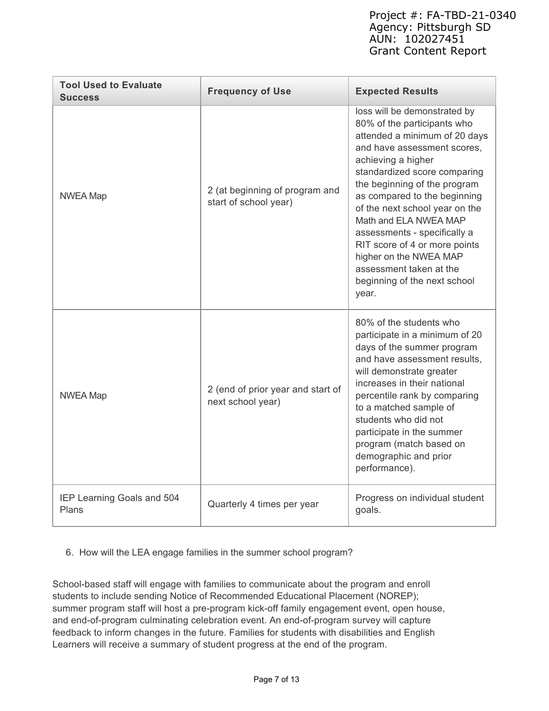| <b>Tool Used to Evaluate</b><br><b>Success</b> | <b>Frequency of Use</b>                                 | <b>Expected Results</b>                                                                                                                                                                                                                                                                                                                                                                                                                                                     |
|------------------------------------------------|---------------------------------------------------------|-----------------------------------------------------------------------------------------------------------------------------------------------------------------------------------------------------------------------------------------------------------------------------------------------------------------------------------------------------------------------------------------------------------------------------------------------------------------------------|
| <b>NWEA Map</b>                                | 2 (at beginning of program and<br>start of school year) | loss will be demonstrated by<br>80% of the participants who<br>attended a minimum of 20 days<br>and have assessment scores.<br>achieving a higher<br>standardized score comparing<br>the beginning of the program<br>as compared to the beginning<br>of the next school year on the<br>Math and ELA NWEA MAP<br>assessments - specifically a<br>RIT score of 4 or more points<br>higher on the NWEA MAP<br>assessment taken at the<br>beginning of the next school<br>year. |
| <b>NWEA Map</b>                                | 2 (end of prior year and start of<br>next school year)  | 80% of the students who<br>participate in a minimum of 20<br>days of the summer program<br>and have assessment results,<br>will demonstrate greater<br>increases in their national<br>percentile rank by comparing<br>to a matched sample of<br>students who did not<br>participate in the summer<br>program (match based on<br>demographic and prior<br>performance).                                                                                                      |
| IEP Learning Goals and 504<br>Plans            | Quarterly 4 times per year                              | Progress on individual student<br>goals.                                                                                                                                                                                                                                                                                                                                                                                                                                    |

6. How will the LEA engage families in the summer school program?

School-based staff will engage with families to communicate about the program and enroll students to include sending Notice of Recommended Educational Placement (NOREP); summer program staff will host a pre-program kick-off family engagement event, open house, and end-of-program culminating celebration event. An end-of-program survey will capture feedback to inform changes in the future. Families for students with disabilities and English Learners will receive a summary of student progress at the end of the program.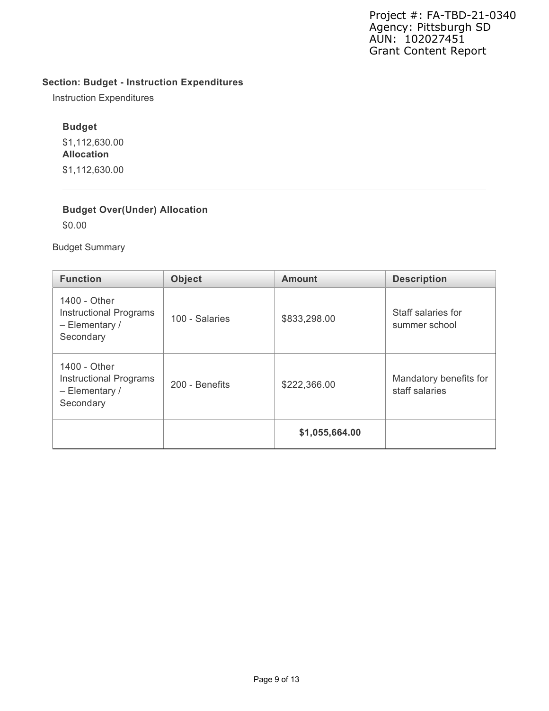# **Section: Budget - Instruction Expenditures**

Instruction Expenditures

### **Budget**

\$1,112,630.00 **Allocation** \$1,112,630.00

# **Budget Over(Under) Allocation**

\$0.00

Budget Summary

| <b>Function</b>                                                                | <b>Object</b>  | <b>Amount</b>  | <b>Description</b>                       |
|--------------------------------------------------------------------------------|----------------|----------------|------------------------------------------|
| 1400 - Other<br><b>Instructional Programs</b><br>$-$ Elementary /<br>Secondary | 100 - Salaries | \$833,298.00   | Staff salaries for<br>summer school      |
| 1400 - Other<br><b>Instructional Programs</b><br>$-$ Elementary /<br>Secondary | 200 - Benefits | \$222,366.00   | Mandatory benefits for<br>staff salaries |
|                                                                                |                | \$1,055,664.00 |                                          |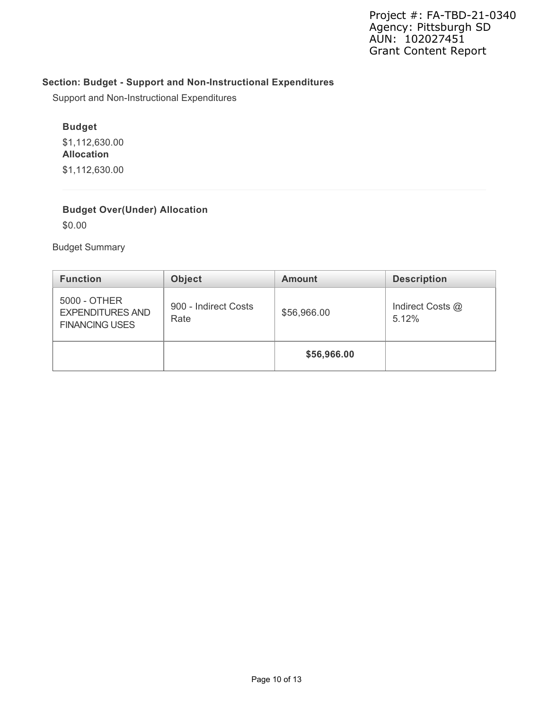# **Section: Budget - Support and Non-Instructional Expenditures**

Support and Non-Instructional Expenditures

### **Budget**

\$1,112,630.00 **Allocation** \$1,112,630.00

# **Budget Over(Under) Allocation**

\$0.00

Budget Summary

| <b>Function</b>                                                  | <b>Object</b>                | <b>Amount</b> | <b>Description</b>        |
|------------------------------------------------------------------|------------------------------|---------------|---------------------------|
| 5000 - OTHER<br><b>EXPENDITURES AND</b><br><b>FINANCING USES</b> | 900 - Indirect Costs<br>Rate | \$56,966.00   | Indirect Costs @<br>5.12% |
|                                                                  |                              | \$56,966.00   |                           |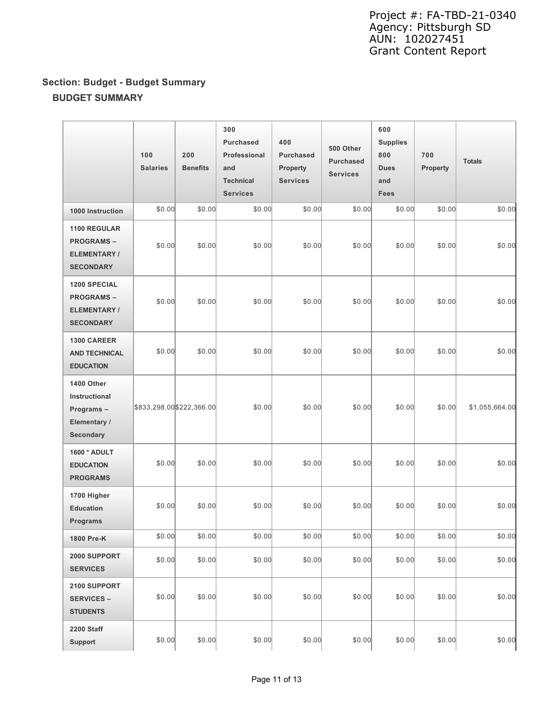# **Section: Budget - Budget Summary BUDGET SUMMARY**

|                                                                                   | 100<br><b>Salaries</b>    | 200<br><b>Benefits</b> | 300<br><b>Purchased</b><br>Professional<br>and<br><b>Technical</b><br><b>Services</b> | 400<br><b>Purchased</b><br><b>Property</b><br><b>Services</b> | 500 Other<br><b>Purchased</b><br><b>Services</b> | 600<br><b>Supplies</b><br>800<br><b>Dues</b><br>and<br>Fees | 700<br>Property | <b>Totals</b>  |
|-----------------------------------------------------------------------------------|---------------------------|------------------------|---------------------------------------------------------------------------------------|---------------------------------------------------------------|--------------------------------------------------|-------------------------------------------------------------|-----------------|----------------|
| 1000 Instruction                                                                  | \$0.00                    | \$0.00                 | \$0.00                                                                                | \$0.00                                                        | \$0.00                                           | \$0.00                                                      | \$0.00          | \$0.00         |
| 1100 REGULAR<br><b>PROGRAMS-</b><br><b>ELEMENTARY/</b><br><b>SECONDARY</b>        | \$0.00                    | \$0.00                 | \$0.00                                                                                | \$0.00                                                        | \$0.00                                           | \$0.00                                                      | \$0.00          | \$0.00         |
| <b>1200 SPECIAL</b><br><b>PROGRAMS-</b><br><b>ELEMENTARY/</b><br><b>SECONDARY</b> | \$0.00                    | \$0.00                 | \$0.00                                                                                | \$0.00                                                        | \$0.00                                           | \$0.00                                                      | \$0.00          | \$0.00         |
| 1300 CAREER<br><b>AND TECHNICAL</b><br><b>EDUCATION</b>                           | \$0.00                    | \$0.00                 | \$0.00                                                                                | \$0.00                                                        | \$0.00                                           | \$0.00                                                      | \$0.00          | \$0.00         |
| 1400 Other<br>Instructional<br>Programs-<br>Elementary /<br><b>Secondary</b>      | \$833,298.00 \$222,366.00 |                        | \$0.00                                                                                | \$0.00                                                        | \$0.00                                           | \$0.00                                                      | \$0.00          | \$1,055,664.00 |
| 1600 * ADULT<br><b>EDUCATION</b><br><b>PROGRAMS</b>                               | \$0.00                    | \$0.00                 | \$0.00                                                                                | \$0.00                                                        | \$0.00                                           | \$0.00                                                      | \$0.00          | \$0.00         |
| 1700 Higher<br><b>Education</b><br><b>Programs</b>                                | \$0.00                    | \$0.00                 | \$0.00                                                                                | \$0.00                                                        | \$0.00                                           | \$0.00                                                      | \$0.00          | \$0.00         |
| 1800 Pre-K                                                                        | \$0.00                    | \$0.00                 | \$0.00                                                                                | \$0.00                                                        | \$0.00                                           | \$0.00                                                      | \$0.00          | \$0.00         |
| 2000 SUPPORT<br><b>SERVICES</b>                                                   | \$0.00                    | \$0.00                 | \$0.00                                                                                | \$0.00                                                        | \$0.00                                           | \$0.00                                                      | \$0.00          | \$0.00         |
| 2100 SUPPORT<br><b>SERVICES –</b><br><b>STUDENTS</b>                              | \$0.00                    | \$0.00                 | \$0.00                                                                                | \$0.00                                                        | \$0.00                                           | \$0.00                                                      | \$0.00          | \$0.00         |
| 2200 Staff<br>Support                                                             | \$0.00                    | \$0.00                 | \$0.00                                                                                | \$0.00                                                        | \$0.00                                           | \$0.00                                                      | \$0.00          | \$0.00         |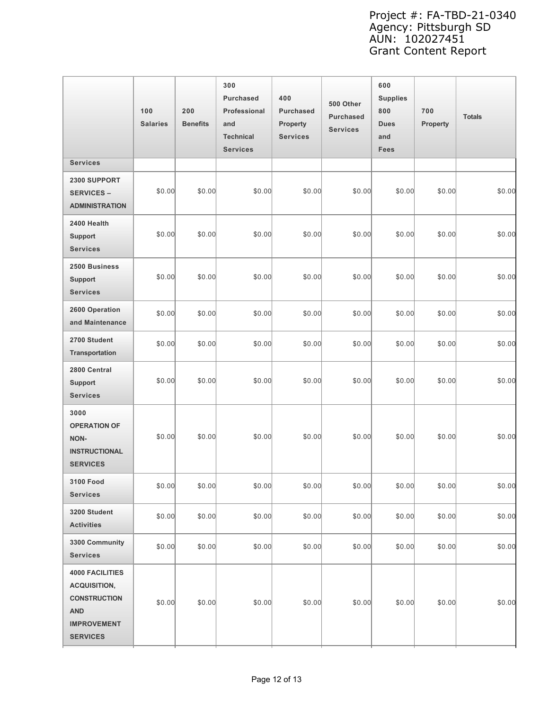|                                                                                                                             | 100<br><b>Salaries</b> | 200<br><b>Benefits</b> | 300<br>Purchased<br>Professional<br>and<br><b>Technical</b><br><b>Services</b> | 400<br><b>Purchased</b><br>Property<br><b>Services</b> | 500 Other<br><b>Purchased</b><br><b>Services</b> | 600<br><b>Supplies</b><br>800<br><b>Dues</b><br>and<br>Fees | 700<br>Property | <b>Totals</b> |
|-----------------------------------------------------------------------------------------------------------------------------|------------------------|------------------------|--------------------------------------------------------------------------------|--------------------------------------------------------|--------------------------------------------------|-------------------------------------------------------------|-----------------|---------------|
| <b>Services</b>                                                                                                             |                        |                        |                                                                                |                                                        |                                                  |                                                             |                 |               |
| 2300 SUPPORT<br><b>SERVICES -</b><br><b>ADMINISTRATION</b>                                                                  | \$0.00                 | \$0.00                 | \$0.00                                                                         | \$0.00                                                 | \$0.00                                           | \$0.00                                                      | \$0.00          | \$0.00        |
| 2400 Health<br><b>Support</b><br><b>Services</b>                                                                            | \$0.00                 | \$0.00                 | \$0.00                                                                         | \$0.00                                                 | \$0.00                                           | \$0.00                                                      | \$0.00          | \$0.00        |
| 2500 Business<br><b>Support</b><br><b>Services</b>                                                                          | \$0.00                 | \$0.00                 | \$0.00                                                                         | \$0.00                                                 | \$0.00                                           | \$0.00                                                      | \$0.00          | \$0.00        |
| 2600 Operation<br>and Maintenance                                                                                           | \$0.00                 | \$0.00                 | \$0.00                                                                         | \$0.00                                                 | \$0.00                                           | \$0.00                                                      | \$0.00          | \$0.00        |
| 2700 Student<br>Transportation                                                                                              | \$0.00                 | \$0.00                 | \$0.00                                                                         | \$0.00                                                 | \$0.00                                           | \$0.00                                                      | \$0.00          | \$0.00        |
| 2800 Central<br><b>Support</b><br><b>Services</b>                                                                           | \$0.00                 | \$0.00                 | \$0.00                                                                         | \$0.00                                                 | \$0.00                                           | \$0.00                                                      | \$0.00          | \$0.00        |
| 3000<br><b>OPERATION OF</b><br>NON-<br><b>INSTRUCTIONAL</b><br><b>SERVICES</b>                                              | \$0.00                 | \$0.00                 | \$0.00                                                                         | \$0.00                                                 | \$0.00                                           | \$0.00                                                      | \$0.00          | \$0.00        |
| 3100 Food<br><b>Services</b>                                                                                                | \$0.00                 | \$0.00                 | \$0.00                                                                         | \$0.00                                                 | \$0.00                                           | \$0.00                                                      | \$0.00          | \$0.00        |
| 3200 Student<br><b>Activities</b>                                                                                           | \$0.00                 | \$0.00                 | \$0.00                                                                         | \$0.00                                                 | \$0.00                                           | \$0.00                                                      | \$0.00          | \$0.00        |
| 3300 Community<br><b>Services</b>                                                                                           | \$0.00                 | \$0.00                 | \$0.00                                                                         | \$0.00                                                 | \$0.00                                           | \$0.00                                                      | \$0.00          | \$0.00        |
| <b>4000 FACILITIES</b><br><b>ACQUISITION,</b><br><b>CONSTRUCTION</b><br><b>AND</b><br><b>IMPROVEMENT</b><br><b>SERVICES</b> | \$0.00                 | \$0.00                 | \$0.00                                                                         | \$0.00                                                 | \$0.00                                           | \$0.00                                                      | \$0.00          | \$0.00        |